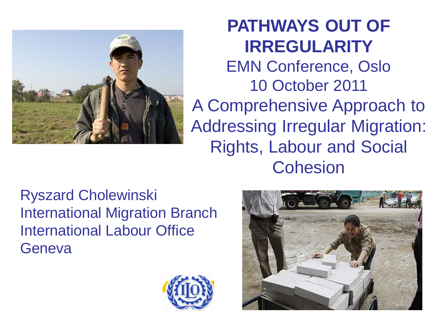

#### **PATHWAYS OUT OF IRREGULARITY**

EMN Conference, Oslo 10 October 2011

A Comprehensive Approach to Addressing Irregular Migration: Rights, Labour and Social **Cohesion** 

Ryszard Cholewinski International Migration Branch International Labour Office **Geneva** 



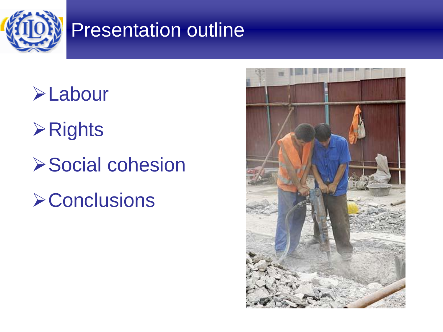

### Presentation outline

**>Labour** 

**≻Rights** 

**≻Social cohesion** 

**≻Conclusions** 

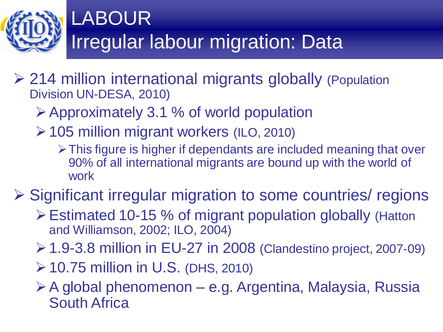

- 214 million international migrants globally (Population Division UN-DESA, 2010)
	- Approximately 3.1 % of world population
	- 105 million migrant workers (ILO, 2010)
		- This figure is higher if dependants are included meaning that over 90% of all international migrants are bound up with the world of work

**≻ Significant irregular migration to some countries/ regions** 

- Estimated 10-15 % of migrant population globally (Hatton and Williamson, 2002; ILO, 2004)
- 1.9-3.8 million in EU-27 in 2008 (Clandestino project, 2007-09)
- $\geq$  10.75 million in U.S. (DHS, 2010)
- A global phenomenon e.g. Argentina, Malaysia, Russia South Africa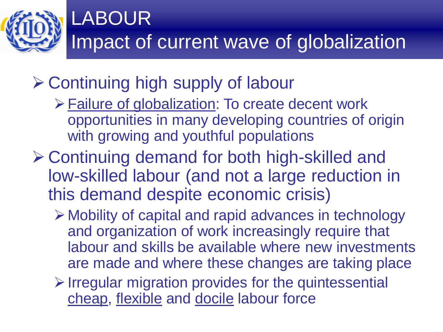

### **≻ Continuing high supply of labour**

- Failure of globalization: To create decent work opportunities in many developing countries of origin with growing and youthful populations
- Continuing demand for both high-skilled and low-skilled labour (and not a large reduction in this demand despite economic crisis)
	- Mobility of capital and rapid advances in technology and organization of work increasingly require that labour and skills be available where new investments are made and where these changes are taking place
	- $\triangleright$  Irregular migration provides for the quintessential cheap, flexible and docile labour force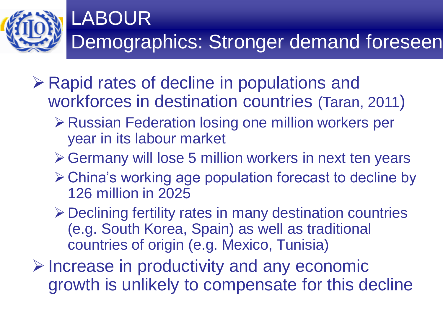

- $\triangleright$  Rapid rates of decline in populations and workforces in destination countries (Taran, 2011)
	- **≻ Russian Federation losing one million workers per** year in its labour market
	- Germany will lose 5 million workers in next ten years
	- China's working age population forecast to decline by 126 million in 2025
	- Declining fertility rates in many destination countries (e.g. South Korea, Spain) as well as traditional countries of origin (e.g. Mexico, Tunisia)
- $\triangleright$  Increase in productivity and any economic growth is unlikely to compensate for this decline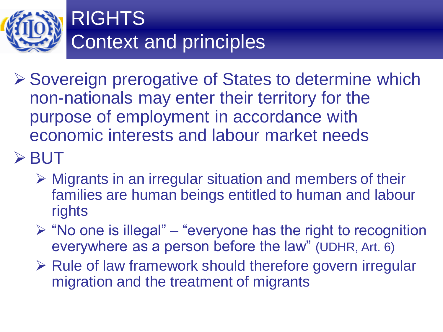

- **≻ Sovereign prerogative of States to determine which** non-nationals may enter their territory for the purpose of employment in accordance with economic interests and labour market needs
- $>$  BUT
	- Migrants in an irregular situation and members of their families are human beings entitled to human and labour rights
	- $\triangleright$  "No one is illegal" "everyone has the right to recognition everywhere as a person before the law" (UDHR, Art. 6)
	- $\triangleright$  Rule of law framework should therefore govern irregular migration and the treatment of migrants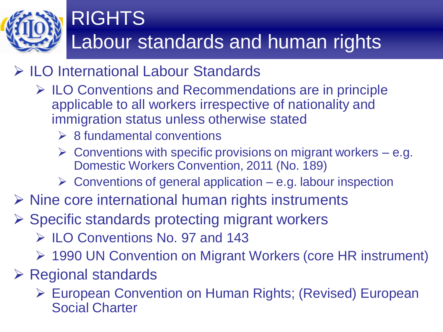

#### **▶ ILO International Labour Standards**

- $\triangleright$  ILO Conventions and Recommendations are in principle applicable to all workers irrespective of nationality and immigration status unless otherwise stated
	- $\triangleright$  8 fundamental conventions
	- $\triangleright$  Conventions with specific provisions on migrant workers e.g. Domestic Workers Convention, 2011 (No. 189)
	- $\triangleright$  Conventions of general application e.g. labour inspection
- $\triangleright$  Nine core international human rights instruments
- $\triangleright$  Specific standards protecting migrant workers
	- $\triangleright$  ILO Conventions No. 97 and 143
	- 1990 UN Convention on Migrant Workers (core HR instrument)
- $\triangleright$  Regional standards
	- European Convention on Human Rights; (Revised) European Social Charter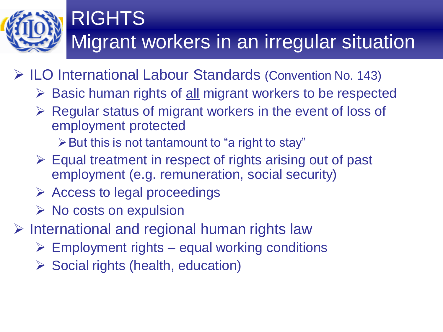

- ILO International Labour Standards (Convention No. 143)
	- $\triangleright$  Basic human rights of all migrant workers to be respected
	- $\triangleright$  Regular status of migrant workers in the event of loss of employment protected
		- $\triangleright$  But this is not tantamount to "a right to stay"
	- $\triangleright$  Equal treatment in respect of rights arising out of past employment (e.g. remuneration, social security)
	- $\triangleright$  Access to legal proceedings
	- $\triangleright$  No costs on expulsion
- $\triangleright$  International and regional human rights law
	- $\triangleright$  Employment rights equal working conditions
	- $\triangleright$  Social rights (health, education)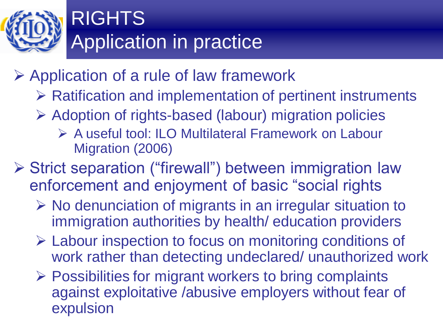

#### Application of a rule of law framework

- $\triangleright$  Ratification and implementation of pertinent instruments
- Adoption of rights-based (labour) migration policies
	- A useful tool: ILO Multilateral Framework on Labour Migration (2006)
- Strict separation ("firewall") between immigration law enforcement and enjoyment of basic "social rights
	- $\triangleright$  No denunciation of migrants in an irregular situation to immigration authorities by health/ education providers
	- Labour inspection to focus on monitoring conditions of work rather than detecting undeclared/ unauthorized work
	- $\triangleright$  Possibilities for migrant workers to bring complaints against exploitative /abusive employers without fear of expulsion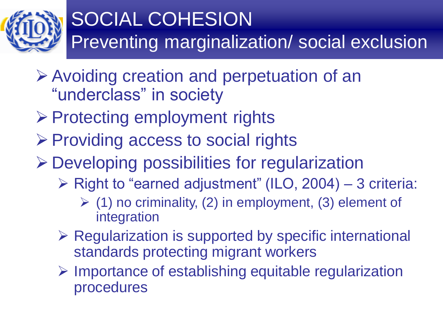

### SOCIAL COHESION Preventing marginalization/ social exclusion

- Avoiding creation and perpetuation of an "underclass" in society
- $\triangleright$  Protecting employment rights
- $\triangleright$  Providing access to social rights
- Developing possibilities for regularization
	- $\triangleright$  Right to "earned adjustment" (ILO, 2004) 3 criteria:
		- $\geq$  (1) no criminality, (2) in employment, (3) element of integration
	- $\triangleright$  Regularization is supported by specific international standards protecting migrant workers
	- $\triangleright$  Importance of establishing equitable regularization procedures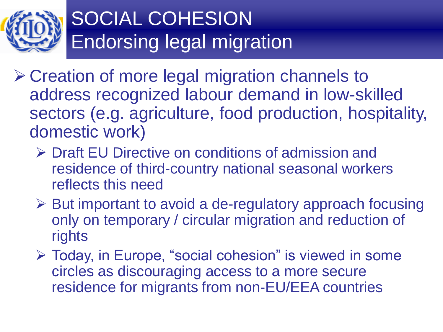

## SOCIAL COHESION Endorsing legal migration

- **≻ Creation of more legal migration channels to** address recognized labour demand in low-skilled sectors (e.g. agriculture, food production, hospitality, domestic work)
	- **► Draft EU Directive on conditions of admission and** residence of third-country national seasonal workers reflects this need
	- ▶ But important to avoid a de-regulatory approach focusing only on temporary / circular migration and reduction of rights
	- Today, in Europe, "social cohesion" is viewed in some circles as discouraging access to a more secure residence for migrants from non-EU/EEA countries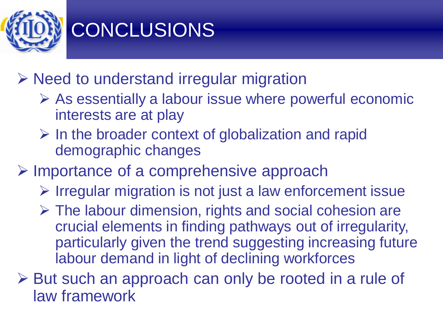

## **CONCLUSIONS**

 $\triangleright$  Need to understand irregular migration

- $\triangleright$  As essentially a labour issue where powerful economic interests are at play
- $\triangleright$  In the broader context of globalization and rapid demographic changes
- $\triangleright$  Importance of a comprehensive approach
	- $\triangleright$  Irregular migration is not just a law enforcement issue
	- $\triangleright$  The labour dimension, rights and social cohesion are crucial elements in finding pathways out of irregularity, particularly given the trend suggesting increasing future labour demand in light of declining workforces
- **► But such an approach can only be rooted in a rule of** law framework